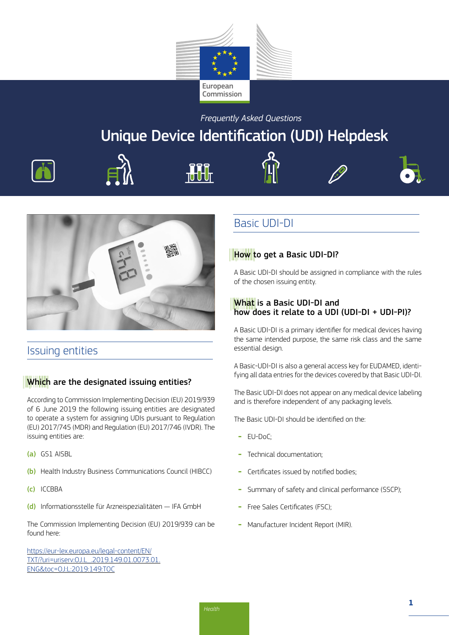

*Frequently Asked Questions* 

# Unique Device Identification (UDI) Helpdesk









# Issuing entities

### Which are the designated issuing entities?

According to Commission Implementing Decision (EU) 2019/939 of 6 June 2019 the following issuing entities are designated to operate a system for assigning UDIs pursuant to Regulation (EU) 2017/745 (MDR) and Regulation (EU) 2017/746 (IVDR). The issuing entities are:

- (a) GS1 AISBL
- (b) Health Industry Business Communications Council (HIBCC)
- (c) ICCBBA
- (d) Informationsstelle für Arzneispezialitäten IFA GmbH

The Commission Implementing Decision (EU) 2019/939 can be found here:

[https://eur-lex.europa.eu/legal-content/EN/](https://eur-lex.europa.eu/legal-content/EN/TXT/?uri=uriserv:OJ.L_.2019.149.01.0073.01.ENG&toc=OJ:L:2019:149:TOC) [TXT/?uri=uriserv:OJ.L\\_.2019.149.01.0073.01.](https://eur-lex.europa.eu/legal-content/EN/TXT/?uri=uriserv:OJ.L_.2019.149.01.0073.01.ENG&toc=OJ:L:2019:149:TOC) [ENG&toc=OJ:L:2019:149:TOC](https://eur-lex.europa.eu/legal-content/EN/TXT/?uri=uriserv:OJ.L_.2019.149.01.0073.01.ENG&toc=OJ:L:2019:149:TOC)

# Basic UDI-DI

### How to get a Basic UDI-DI?

A Basic UDI-DI should be assigned in compliance with the rules of the chosen issuing entity.

### What is a Basic UDI-DI and how does it relate to a UDI (UDI-DI + UDI-PI)?

A Basic UDI-DI is a primary identifier for medical devices having the same intended purpose, the same risk class and the same essential design.

A Basic-UDI-DI is also a general access key for EUDAMED, identifying all data entries for the devices covered by that Basic UDI-DI.

The Basic UDI-DI does not appear on any medical device labeling and is therefore independent of any packaging levels.

The Basic UDI-DI should be identified on the:

- EU-DoC:
- Technical documentation;
- Certificates issued by notified bodies;
- Summary of safety and clinical performance (SSCP);
- Free Sales Certificates (FSC):
- Manufacturer Incident Report (MIR).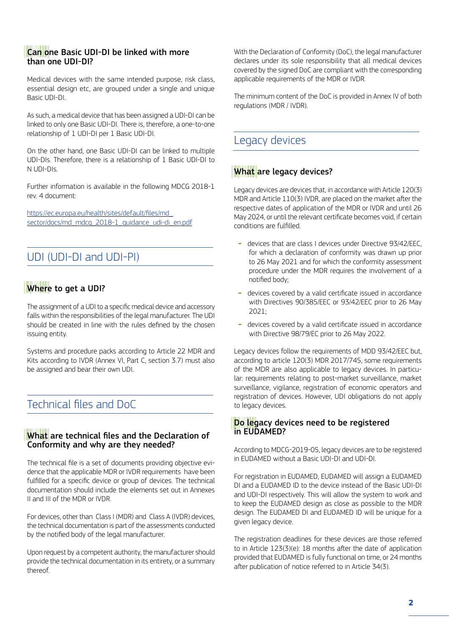### Can one Basic UDI-DI be linked with more than one UDI-DI?

Medical devices with the same intended purpose, risk class, essential design etc, are grouped under a single and unique Basic UDI-DI.

As such, a medical device that has been assigned a UDI-DI can be linked to only one Basic UDI-DI. There is, therefore, a one-to-one relationship of 1 UDI-DI per 1 Basic UDI-DI.

On the other hand, one Basic UDI-DI can be linked to multiple UDI-DIs. Therefore, there is a relationship of 1 Basic UDI-DI to N UDI-DIs.

Further information is available in the following MDCG 2018-1 rev. 4 document:

[https://ec.europa.eu/health/sites/default/files/md\\_](https://ec.europa.eu/health/sites/default/files/md_sector/docs/md_mdcg_2018-1_guidance_udi-di_en.pdf) [sector/docs/md\\_mdcg\\_2018-1\\_guidance\\_udi-di\\_en.pdf](https://ec.europa.eu/health/sites/default/files/md_sector/docs/md_mdcg_2018-1_guidance_udi-di_en.pdf)

# UDI (UDI-DI and UDI-PI)

# Where to get a UDI?

The assignment of a UDI to a specific medical device and accessory falls within the responsibilities of the legal manufacturer. The UDI should be created in line with the rules defined by the chosen issuing entity.

Systems and procedure packs according to Article 22 MDR and Kits according to IVDR (Annex VI, Part C, section 3.7) must also be assigned and bear their own UDI.

# Technical files and DoC

### What are technical files and the Declaration of Conformity and why are they needed?

The technical file is a set of documents providing objective evidence that the applicable MDR or IVDR requirements have been fulfilled for a specific device or group of devices. The technical documentation should include the elements set out in Annexes II and III of the MDR or IVDR.

For devices, other than Class I (MDR) and Class A (IVDR) devices, the technical documentation is part of the assessments conducted by the notified body of the legal manufacturer.

Upon request by a competent authority, the manufacturer should provide the technical documentation in its entirety, or a summary thereof.

With the Declaration of Conformity (DoC), the legal manufacturer declares under its sole responsibility that all medical devices covered by the signed DoC are compliant with the corresponding applicable requirements of the MDR or IVDR.

The minimum content of the DoC is provided in Annex IV of both regulations (MDR / IVDR).

# Legacy devices

### What are legacy devices?

Legacy devices are devices that, in accordance with Article 120(3) MDR and Article 110(3) IVDR, are placed on the market after the respective dates of application of the MDR or IVDR and until 26 May 2024, or until the relevant certificate becomes void, if certain conditions are fulfilled.

- devices that are class I devices under Directive 93/42/FFC for which a declaration of conformity was drawn up prior to 26 May 2021 and for which the conformity assessment procedure under the MDR requires the involvement of a notified body;
- devices covered by a valid certificate issued in accordance with Directives 90/385/EEC or 93/42/EEC prior to 26 May 2021;
- devices covered by a valid certificate issued in accordance with Directive 98/79/EC prior to 26 May 2022.

Legacy devices follow the requirements of MDD 93/42/EEC but, according to article 120(3) MDR 2017/745, some requirements of the MDR are also applicable to legacy devices. In particular: requirements relating to post-market surveillance, market surveillance, vigilance, registration of economic operators and registration of devices. However, UDI obligations do not apply to legacy devices.

### Do legacy devices need to be registered in EUDAMED?

According to MDCG-2019-05, legacy devices are to be registered in EUDAMED without a Basic UDI-DI and UDI-DI.

For registration in EUDAMED, EUDAMED will assign a EUDAMED DI and a EUDAMED ID to the device instead of the Basic UDI-DI and UDI-DI respectively. This will allow the system to work and to keep the EUDAMED design as close as possible to the MDR design. The EUDAMED DI and EUDAMED ID will be unique for a given legacy device.

The registration deadlines for these devices are those referred to in Article 123(3)(e): 18 months after the date of application provided that EUDAMED is fully functional on time, or 24 months after publication of notice referred to in Article 34(3).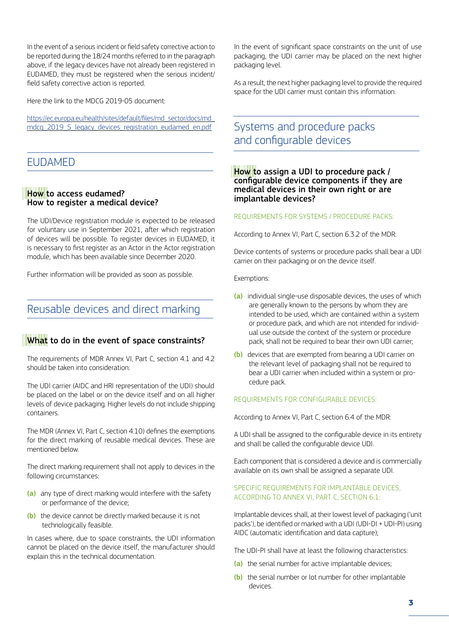In the event of a serious incident or field safety corrective action to be reported during the 18/24 months referred to in the paragraph above, if the legacy devices have not already been registered in EUDAMED, they must be registered when the serious incident/ field safety corrective action is reported.

Here the link to the MDCG 2019-05 document:

[https://ec.europa.eu/health/sites/default/files/md\\_sector/docs/md\\_](https://ec.europa.eu/health/sites/default/files/md_sector/docs/md_mdcg_2019_5_legacy_devices_registration_eudamed_en.pdf) [mdcg\\_2019\\_5\\_legacy\\_devices\\_registration\\_eudamed\\_en.pdf](https://ec.europa.eu/health/sites/default/files/md_sector/docs/md_mdcg_2019_5_legacy_devices_registration_eudamed_en.pdf)

### EUDAMED

#### How to access eudamed? How to register a medical device?

The UDI/Device registration module is expected to be released for voluntary use in September 2021, after which registration of devices will be possible. To register devices in EUDAMED, it is necessary to first register as an Actor in the Actor registration module, which has been available since December 2020.

Further information will be provided as soon as possible.

### Reusable devices and direct marking

### What to do in the event of space constraints?

The requirements of MDR Annex VI, Part C, section 4.1 and 4.2 should be taken into consideration:

The UDI carrier (AIDC and HRI representation of the UDI) should be placed on the label or on the device itself and on all higher levels of device packaging. Higher levels do not include shipping containers.

The MDR (Annex VI, Part C, section 4.10) defines the exemptions for the direct marking of reusable medical devices. These are mentioned below.

The direct marking requirement shall not apply to devices in the following circumstances:

- (a) any type of direct marking would interfere with the safety or performance of the device;
- (b) the device cannot be directly marked because it is not technologically feasible.

In cases where, due to space constraints, the UDI information cannot be placed on the device itself, the manufacturer should explain this in the technical documentation.

In the event of significant space constraints on the unit of use packaging, the UDI carrier may be placed on the next higher packaging level.

As a result, the next higher packaging level to provide the required space for the UDI carrier must contain this information.

# Systems and procedure packs and configurable devices

How to assign a UDI to procedure pack / configurable device components if they are medical devices in their own right or are implantable devices?

#### REQUIREMENTS FOR SYSTEMS / PROCEDURE PACKS:

According to Annex VI, Part C, section 6.3.2 of the MDR:

Device contents of systems or procedure packs shall bear a UDI carrier on their packaging or on the device itself.

Exemptions:

- (a) individual single-use disposable devices, the uses of which are generally known to the persons by whom they are intended to be used, which are contained within a system or procedure pack, and which are not intended for individual use outside the context of the system or procedure pack, shall not be required to bear their own UDI carrier;
- (b) devices that are exempted from bearing a UDI carrier on the relevant level of packaging shall not be required to bear a UDI carrier when included within a system or procedure pack.

#### REQUIREMENTS FOR CONFIGURABLE DEVICES:

According to Annex VI, Part C, section 6.4 of the MDR:

A UDI shall be assigned to the configurable device in its entirety and shall be called the configurable device UDI.

Each component that is considered a device and is commercially available on its own shall be assigned a separate UDI.

#### SPECIFIC REQUIREMENTS FOR IMPLANTABLE DEVICES, ACCORDING TO ANNEX VI, PART C, SECTION 6.1:

Implantable devices shall, at their lowest level of packaging ('unit packs'), be identified or marked with a UDI (UDI-DI + UDI-PI) using AIDC (automatic identification and data capture);

The UDI-PI shall have at least the following characteristics:

- (a) the serial number for active implantable devices:
- (b) the serial number or lot number for other implantable devices.